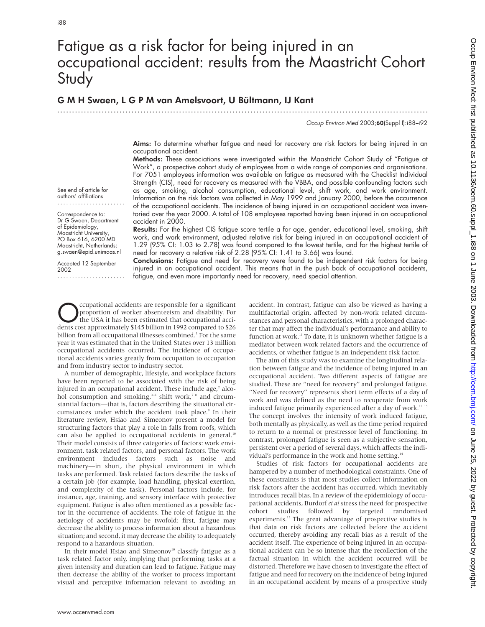See end of article for authors' affiliations

Correspondence to: Dr G Swaen, Department of Epidemiology, Maastricht University, PO Box 616, 6200 MD Maastricht, Netherlands; g.swaen@epid.unimaas.nl Accepted 12 September

.......................

2002

# Fatigue as a risk factor for being injured in an occupational accident: results from the Maastricht Cohort **Study**

.............................................................................................................................

# G M H Swaen, L G P M van Amelsvoort, U Bültmann, IJ Kant

Occup Environ Med 2003;60(Suppl I):i88–i92

Aims: To determine whether fatigue and need for recovery are risk factors for being injured in an occupational accident.

Methods: These associations were investigated within the Maastricht Cohort Study of "Fatigue at Work", a prospective cohort study of employees from a wide range of companies and organisations. For 7051 employees information was available on fatigue as measured with the Checklist Individual Strength (CIS), need for recovery as measured with the VBBA, and possible confounding factors such as age, smoking, alcohol consumption, educational level, shift work, and work environment. Information on the risk factors was collected in May 1999 and January 2000, before the occurrence of the occupational accidents. The incidence of being injured in an occupational accident was inventoried over the year 2000. A total of 108 employees reported having been injured in an occupational accident in 2000.

Results: For the highest CIS fatigue score tertile a for age, gender, educational level, smoking, shift work, and work environment, adjusted relative risk for being injured in an occupational accident of 1.29 (95% CI: 1.03 to 2.78) was found compared to the lowest tertile, and for the highest tertile of need for recovery a relative risk of 2.28 (95% CI: 1.41 to 3.66) was found.

Conclusions: Fatigue and need for recovery were found to be independent risk factors for being injured in an occupational accident. This means that in the push back of occupational accidents, fatigue, and even more importantly need for recovery, need special attention.

Compational accidents are responsible for a significant<br>proportion of worker absenteeism and disability. For<br>the USA it has been estimated that occupational acci-<br>dents cost approximately \$145 billion in 1992 compared to \$ proportion of worker absenteeism and disability. For the USA it has been estimated that occupational accidents cost approximately \$145 billion in 1992 compared to \$26 billion from all occupational illnesses combined.<sup>1</sup> For the same year it was estimated that in the United States over 13 million occupational accidents occurred. The incidence of occupational accidents varies greatly from occupation to occupation and from industry sector to industry sector.

A number of demographic, lifestyle, and workplace factors have been reported to be associated with the risk of being injured in an occupational accident. These include  $age<sub>r</sub><sup>2</sup>$  alcohol consumption and smoking,<sup>3-6</sup> shift work,<sup>7</sup><sup>8</sup> and circumstantial factors—that is, factors describing the situational circumstances under which the accident took place.<sup>9</sup> In their literature review, Hsiao and Simeonov present a model for structuring factors that play a role in falls from roofs, which can also be applied to occupational accidents in general.<sup>10</sup> Their model consists of three categories of factors: work environment, task related factors, and personal factors. The work environment includes factors such as noise and machinery—in short, the physical environment in which tasks are performed. Task related factors describe the tasks of a certain job (for example, load handling, physical exertion, and complexity of the task). Personal factors include, for instance, age, training, and sensory interface with protective equipment. Fatigue is also often mentioned as a possible factor in the occurrence of accidents. The role of fatigue in the aetiology of accidents may be twofold: first, fatigue may decrease the ability to process information about a hazardous situation; and second, it may decrease the ability to adequately respond to a hazardous situation.

In their model Hsiao and Simeonov<sup>10</sup> classify fatigue as a task related factor only, implying that performing tasks at a given intensity and duration can lead to fatigue. Fatigue may then decrease the ability of the worker to process important visual and perceptive information relevant to avoiding an

accident. In contrast, fatigue can also be viewed as having a multifactorial origin, affected by non-work related circumstances and personal characteristics, with a prolonged character that may affect the individual's performance and ability to function at work.<sup>11</sup> To date, it is unknown whether fatigue is a mediator between work related factors and the occurrence of accidents, or whether fatigue is an independent risk factor.

The aim of this study was to examine the longitudinal relation between fatigue and the incidence of being injured in an occupational accident. Two different aspects of fatigue are studied. These are "need for recovery" and prolonged fatigue. "Need for recovery" represents short term effects of a day of work and was defined as the need to recuperate from work induced fatigue primarily experienced after a day of work.<sup>12 13</sup> The concept involves the intensity of work induced fatigue, both mentally as physically, as well as the time period required to return to a normal or prestressor level of functioning. In contrast, prolonged fatigue is seen as a subjective sensation, persistent over a period of several days, which affects the individual's performance in the work and home setting.<sup>14</sup>

Studies of risk factors for occupational accidents are hampered by a number of methodological constraints. One of these constraints is that most studies collect information on risk factors after the accident has occurred, which inevitably introduces recall bias. In a review of the epidemiology of occupational accidents, Burdorf *et al* stress the need for prospective cohort studies followed by targeted randomised experiments.<sup>15</sup> The great advantage of prospective studies is that data on risk factors are collected before the accident occurred, thereby avoiding any recall bias as a result of the accident itself. The experience of being injured in an occupational accident can be so intense that the recollection of the factual situation in which the accident occurred will be distorted. Therefore we have chosen to investigate the effect of fatigue and need for recovery on the incidence of being injured in an occupational accident by means of a prospective study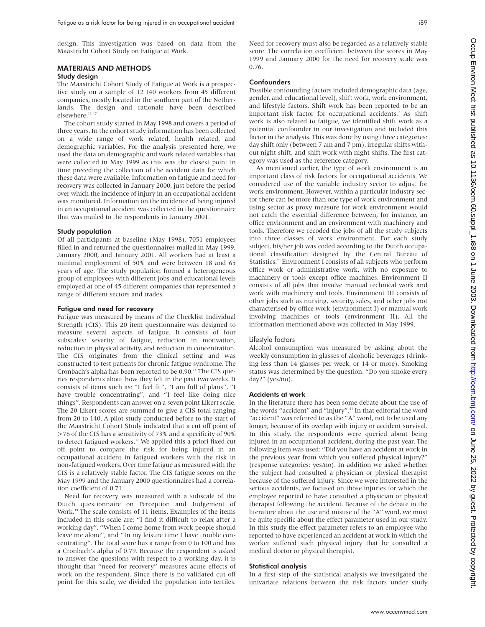design. This investigation was based on data from the Maastricht Cohort Study on Fatigue at Work.

# MATERIALS AND METHODS

## Study design

The Maastricht Cohort Study of Fatigue at Work is a prospective study on a sample of 12 140 workers from 45 different companies, mostly located in the southern part of the Netherlands. The design and rationale have been described elsewhere.<sup>16</sup><sup>17</sup>

The cohort study started in May 1998 and covers a period of three years. In the cohort study information has been collected on a wide range of work related, health related, and demographic variables. For the analysis presented here, we used the data on demographic and work related variables that were collected in May 1999 as this was the closest point in time preceding the collection of the accident data for which these data were available. Information on fatigue and need for recovery was collected in January 2000, just before the period over which the incidence of injury in an occupational accident was monitored. Information on the incidence of being injured in an occupational accident was collected in the questionnaire that was mailed to the respondents in January 2001.

#### Study population

Of all participants at baseline (May 1998), 7051 employees filled in and returned the questionnaires mailed in May 1999, January 2000, and January 2001. All workers had at least a minimal employment of 50% and were between 18 and 65 years of age. The study population formed a heterogeneous group of employees with different jobs and educational levels employed at one of 45 different companies that represented a range of different sectors and trades.

## Fatigue and need for recovery

Fatigue was measured by means of the Checklist Individual Strength (CIS). This 20 item questionnaire was designed to measure several aspects of fatigue. It consists of four subscales: severity of fatigue, reduction in motivation, reduction in physical activity, and reduction in concentration. The CIS originates from the clinical setting and was constructed to test patients for chronic fatigue syndrome. The Cronbach's alpha has been reported to be 0.90.<sup>18</sup> The CIS queries respondents about how they felt in the past two weeks. It consists of items such as: "I feel fit", "I am full of plans", "I have trouble concentrating", and "I feel like doing nice things". Respondents can answer on a seven point Likert scale. The 20 Likert scores are summed to give a CIS total ranging from 20 to 140. A pilot study conducted before to the start of the Maastricht Cohort Study indicated that a cut off point of >76 of the CIS has a sensitivity of 73% and a specificity of 90% to detect fatigued workers.<sup>17</sup> We applied this a priori fixed cut off point to compare the risk for being injured in an occupational accident in fatigued workers with the risk in non-fatigued workers. Over time fatigue as measured with the CIS is a relatively stable factor. The CIS fatigue scores on the May 1999 and the January 2000 questionnaires had a correlation coefficient of 0.71.

Need for recovery was measured with a subscale of the Dutch questionnaire on Perception and Judgement of Work.<sup>19</sup> The scale consists of 11 items. Examples of the items included in this scale are: "I find it difficult to relax after a working day", "When I come home from work people should leave me alone", and "In my leisure time I have trouble concentrating". The total score has a range from 0 to 100 and has a Cronbach's alpha of 0.79. Because the respondent is asked to answer the questions with respect to a working day, it is thought that "need for recovery" measures acute effects of work on the respondent. Since there is no validated cut off point for this scale, we divided the population into tertiles.

Need for recovery must also be regarded as a relatively stable score. The correlation coefficient between the scores in May 1999 and January 2000 for the need for recovery scale was 0.76.

#### Confounders

Possible confounding factors included demographic data (age, gender, and educational level), shift work, work environment, and lifestyle factors. Shift work has been reported to be an important risk factor for occupational accidents.<sup>7</sup> As shift work is also related to fatigue, we identified shift work as a potential confounder in our investigation and included this factor in the analysis. This was done by using three categories: day shift only (between 7 am and 7 pm), irregular shifts without night shift, and shift work with night shifts. The first category was used as the reference category.

As mentioned earlier, the type of work environment is an important class of risk factors for occupational accidents. We considered use of the variable industry sector to adjust for work environment. However, within a particular industry sector there can be more than one type of work environment and using sector as proxy measure for work environment would not catch the essential difference between, for instance, an office environment and an environment with machinery and tools. Therefore we recoded the jobs of all the study subjects into three classes of work environment. For each study subject, his/her job was coded according to the Dutch occupational classification designed by the Central Bureau of Statistics.20 Environment I consists of all subjects who perform office work or administrative work, with no exposure to machinery or tools except office machines. Environment II consists of all jobs that involve manual technical work and work with machinery and tools. Environment III consists of other jobs such as nursing, security, sales, and other jobs not characterised by office work (environment I) or manual work involving machines or tools (environment II). All the information mentioned above was collected in May 1999.

# Lifestyle factors

Alcohol consumption was measured by asking about the weekly consumption in glasses of alcoholic beverages (drinking less than 14 glasses per week, or 14 or more). Smoking status was determined by the question: "Do you smoke every day?" (yes/no).

# Accidents at work

In the literature there has been some debate about the use of the words "accident" and "injury".<sup>21</sup> In that editorial the word "accident" was referred to as the "A" word, not to be used any longer, because of its overlap with injury or accident survival. In this study, the respondents were queried about being injured in an occupational accident, during the past year. The following item was used: "Did you have an accident at work in the previous year from which you suffered physical injury?" (response categories: yes/no). In addition we asked whether the subject had consulted a physician or physical therapist because of the suffered injury. Since we were interested in the serious accidents, we focused on those injuries for which the employee reported to have consulted a physician or physical therapist following the accident. Because of the debate in the literature about the use and misuse of the "A" word, we must be quite specific about the effect parameter used in our study. In this study the effect parameter refers to an employee who reported to have experienced an accident at work in which the worker suffered such physical injury that he consulted a medical doctor or physical therapist.

### Statistical analysis

In a first step of the statistical analysis we investigated the univariate relations between the risk factors under study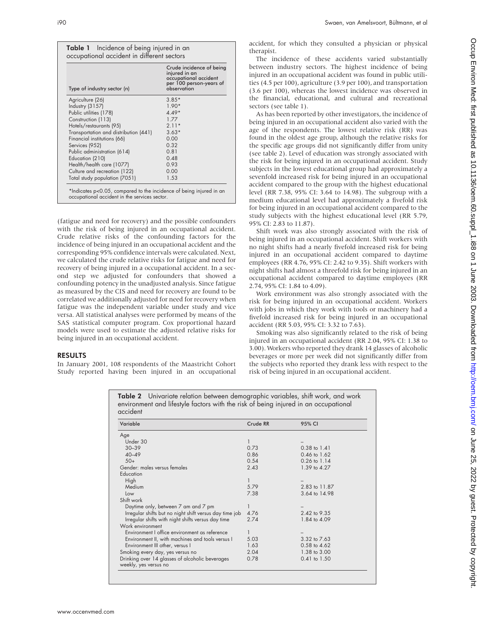| Type of industry sector (n)           | Crude incidence of being<br>injured in an<br>occupational accident<br>per 100 person-years of<br>observation |
|---------------------------------------|--------------------------------------------------------------------------------------------------------------|
| Agriculture (26)                      | $3.85*$                                                                                                      |
| <b>Industry (3157)</b>                | $1.90*$                                                                                                      |
| Public utilities (178)                | $4.49*$                                                                                                      |
| Construction (113)                    | 177                                                                                                          |
| Hotels/restaurants (95)               | $2.11*$                                                                                                      |
| Transportation and distribution (441) | $3.63*$                                                                                                      |
| Financial institutions (66)           | 0.00                                                                                                         |
| Services (952)                        | 0.32                                                                                                         |
| Public administration (614)           | 0.81                                                                                                         |
| Education (210)                       | 0.48                                                                                                         |
| Health/health care (1077)             | 0.93                                                                                                         |
| Culture and recreation (122)          | 0.00                                                                                                         |
| Total study population (7051)         | 1.53                                                                                                         |

(fatigue and need for recovery) and the possible confounders with the risk of being injured in an occupational accident. Crude relative risks of the confounding factors for the incidence of being injured in an occupational accident and the corresponding 95% confidence intervals were calculated. Next, we calculated the crude relative risks for fatigue and need for recovery of being injured in a occupational accident. In a second step we adjusted for confounders that showed a confounding potency in the unadjusted analysis. Since fatigue as measured by the CIS and need for recovery are found to be correlated we additionally adjusted for need for recovery when fatigue was the independent variable under study and vice versa. All statistical analyses were performed by means of the SAS statistical computer program. Cox proportional hazard models were used to estimate the adjusted relative risks for being injured in an occupational accident.

# RESULTS

In January 2001, 108 respondents of the Maastricht Cohort Study reported having been injured in an occupational accident, for which they consulted a physician or physical therapist.

The incidence of these accidents varied substantially between industry sectors. The highest incidence of being injured in an occupational accident was found in public utilities (4.5 per 100), agriculture (3.9 per 100), and transportation (3.6 per 100), whereas the lowest incidence was observed in the financial, educational, and cultural and recreational sectors (see table 1).

As has been reported by other investigators, the incidence of being injured in an occupational accident also varied with the age of the respondents. The lowest relative risk (RR) was found in the oldest age group, although the relative risks for the specific age groups did not significantly differ from unity (see table 2). Level of education was strongly associated with the risk for being injured in an occupational accident. Study subjects in the lowest educational group had approximately a sevenfold increased risk for being injured in an occupational accident compared to the group with the highest educational level (RR 7.38, 95% CI: 3.64 to 14.98). The subgroup with a medium educational level had approximately a fivefold risk for being injured in an occupational accident compared to the study subjects with the highest educational level (RR 5.79, 95% CI: 2.83 to 11.87).

Shift work was also strongly associated with the risk of being injured in an occupational accident. Shift workers with no night shifts had a nearly fivefold increased risk for being injured in an occupational accident compared to daytime employees (RR 4.76, 95% CI: 2.42 to 9.35). Shift workers with night shifts had almost a threefold risk for being injured in an occupational accident compared to daytime employees (RR 2.74, 95% CI: 1.84 to 4.09).

Work environment was also strongly associated with the risk for being injured in an occupational accident. Workers with jobs in which they work with tools or machinery had a fivefold increased risk for being injured in an occupational accident (RR 5.03, 95% CI: 3.32 to 7.63).

Smoking was also significantly related to the risk of being injured in an occupational accident (RR 2.04, 95% CI: 1.38 to 3.00). Workers who reported they drank 14 glasses of alcoholic beverages or more per week did not significantly differ from the subjects who reported they drank less with respect to the risk of being injured in an occupational accident.

Table 2 Univariate relation between demographic variables, shift work, and work environment and lifestyle factors with the risk of being injured in an occupational accident

| Variable                                                                 | Crude RR | 95% CI                  |
|--------------------------------------------------------------------------|----------|-------------------------|
| Age                                                                      |          |                         |
| Under 30                                                                 |          |                         |
| $30 - 39$                                                                | 0.73     | $0.38$ to $1.41$        |
| $40 - 49$                                                                | 0.86     | 0.46 to 1.62            |
| $50+$                                                                    | 0.54     | $0.26 \text{ to } 1.14$ |
| Gender: males versus females                                             | 2.43     | 1.39 to 4.27            |
| Education                                                                |          |                         |
| High                                                                     |          |                         |
| Medium                                                                   | 5.79     | 2.83 to 11.87           |
| Low                                                                      | 7.38     | 3.64 to 14.98           |
| Shift work                                                               |          |                         |
| Daytime only, between 7 am and 7 pm                                      |          |                         |
| Irregular shifts but no night shift versus day time job                  | 4.76     | 2.42 to 9.35            |
| Irregular shifts with night shifts versus day time                       | 2.74     | 1.84 to 4.09            |
| Work environment                                                         |          |                         |
| Environment I office environment as reference                            |          |                         |
| Environment II, with machines and tools versus I                         | 5.03     | 3.32 to 7.63            |
| Environment III other, versus I                                          | 1.63     | 0.58 to 4.62            |
| Smoking every day, yes versus no                                         | 2.04     | 1.38 to 3.00            |
| Drinking over 14 glasses of alcoholic beverages<br>weekly, yes versus no | 0.78     | 0.41 to 1.50            |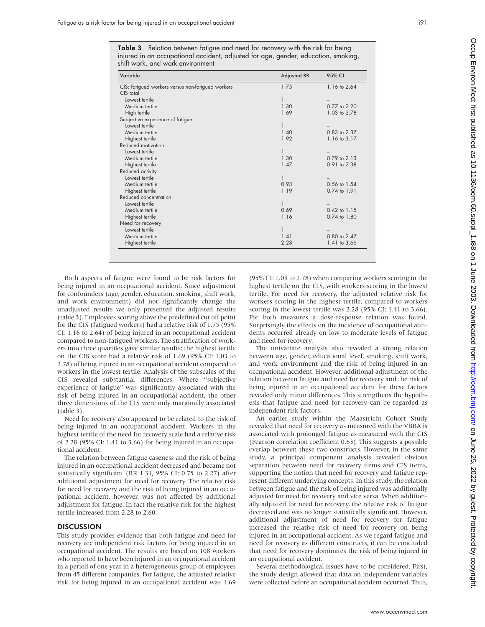Table 3 Relation between fatigue and need for recovery with the risk for being injured in an occupational accident, adjusted for age, gender, education, smoking, shift work, and work environment

| Variable                                          | <b>Adjusted RR</b> | 95% CI           |
|---------------------------------------------------|--------------------|------------------|
| CIS: fatigued workers versus non-fatigued workers | 1.75               | 1.16 to 2.64     |
| CIS total                                         |                    |                  |
| Lowest tertile                                    | 1                  |                  |
| Medium tertile                                    | 1.30               | 0.77 to 2.20     |
| High tertile                                      | 1.69               | 1.03 to 2.78     |
| Subjective experience of fatigue                  |                    |                  |
| Lowest tertile                                    |                    |                  |
| Medium tertile                                    | 1.40               | 0.83 to 2.37     |
| Highest tertile                                   | 1.92               | 1.16 to 3.17     |
| Reduced motivation                                |                    |                  |
| Lowest tertile                                    |                    |                  |
| Medium tertile                                    | 1.30               | 0.79 to 2.13     |
| Highest tertile                                   | 1.47               | 0.91 to 2.38     |
| Reduced activity                                  |                    |                  |
| Lowest tertile                                    | 1                  |                  |
| Medium tertile                                    | 0.93               | 0.56 to 1.54     |
| Highest tertile                                   | 1.19               | 0.74 to 1.91     |
| Reduced concentration                             |                    |                  |
| Lowest tertile                                    | T                  |                  |
| Medium tertile                                    | 0.69               | 0.42 to 1.15     |
| Highest tertile                                   | 1.16               | $0.74$ to $1.80$ |
| Need for recovery                                 |                    |                  |
| Lowest tertile                                    |                    |                  |
| Medium tertile                                    | 1.41               | 0.80 to 2.47     |
| Highest tertile                                   | 2.28               | 1.41 to 3.66     |

Both aspects of fatigue were found to be risk factors for being injured in an occpuational accident. Since adjustment for confounders (age, gender, education, smoking, shift work, and work environment) did not significantly change the unadjusted results we only presented the adjusted results (table 3). Employees scoring above the predefined cut off point for the CIS (fatigued workers) had a relative risk of 1.75 (95% CI: 1.16 to 2.64) of being injured in an occupational accident compared to non-fatigued workers. The stratification of workers into three quartiles gave similar results; the highest tertile on the CIS score had a relative risk of 1.69 (95% CI: 1.03 to 2.78) of being injured in an occupational accident compared to workers in the lowest tertile. Analysis of the subscales of the CIS revealed substantial differences. Where "subjective experience of fatigue" was significantly associated with the risk of being injured in an occupational accident, the other three dimensions of the CIS were only marginally associated (table 3).

Need for recovery also appeared to be related to the risk of being injured in an occupational accident. Workers in the highest tertile of the need for recovery scale had a relative risk of 2.28 (95% CI: 1.41 to 3.66) for being injured in an occupational accident.

The relation between fatigue caseness and the risk of being injured in an occupational accident decreased and became not statistically significant (RR 1.31, 95% CI: 0.75 to 2.27) after additional adjustment for need for recovery. The relative risk for need for recovery and the risk of being injured in an occupational accident, however, was not affected by additional adjustment for fatigue. In fact the relative risk for the highest tertile increased from 2.28 to 2.60.

# **DISCUSSION**

This study provides evidence that both fatigue and need for recovery are independent risk factors for being injured in an occupational accident. The results are based on 108 workers who reported to have been injured in an occupational accident in a period of one year in a heterogeneous group of employees from 45 different companies. For fatigue, the adjusted relative risk for being injured in an occupational accident was 1.69

(95% CI: 1.03 to 2.78) when comparing workers scoring in the highest tertile on the CIS, with workers scoring in the lowest tertile. For need for recovery, the adjusted relative risk for workers scoring in the highest tertile, compared to workers scoring in the lowest tertile was 2.28 (95% CI: 1.41 to 3.66). For both measures a dose-response relation was found. Surprisingly the effects on the incidence of occupational accidents occurred already on low to moderate levels of fatigue and need for recovery.

The univariate analysis also revealed a strong relation between age, gender, educational level, smoking, shift work, and work environment and the risk of being injured in an occupational accident. However, additional adjustment of the relation between fatigue and need for recovery and the risk of being injured in an occupational accident for these factors revealed only minor differences. This strengthens the hypothesis that fatigue and need for recovery can be regarded as independent risk factors.

An earlier study within the Maastricht Cohort Study revealed that need for recovery as measured with the VBBA is associated with prolonged fatigue as measured with the CIS (Pearson correlation coefficient 0.63). This suggests a possible overlap between these two constructs. However, in the same study, a principal component analysis revealed obvious separation between need for recovery items and CIS items, supporting the notion that need for recovery and fatigue represent different underlying concepts. In this study, the relation between fatigue and the risk of being injured was additionally adjusted for need for recovery and vice versa. When additionally adjusted for need for recovery, the relative risk of fatigue decreased and was no longer statistically significant. However, additional adjustment of need for recovery for fatigue increased the relative risk of need for recovery on being injured in an occupational accident. As we regard fatigue and need for recovery as different constructs, it can be concluded that need for recovery dominates the risk of being injured in an occupational accident.

Several methodological issues have to be considered. First, the study design allowed that data on independent variables were collected before an occupational accident occurred. Thus,